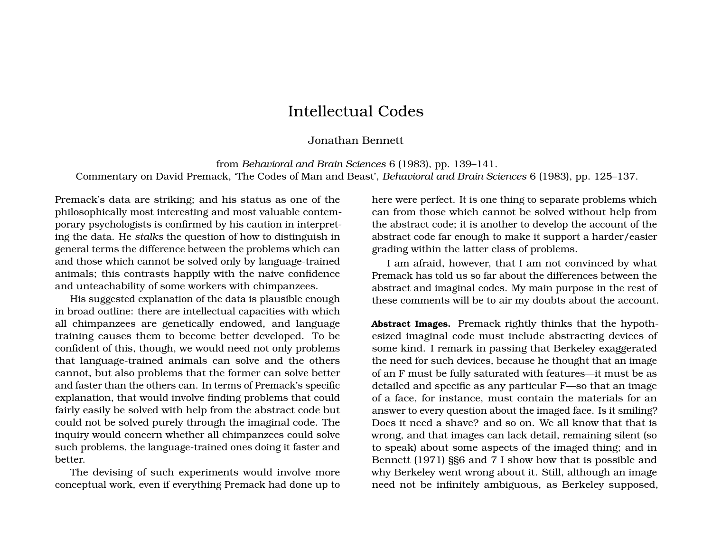## Intellectual Codes

## Jonathan Bennett

from *Behavioral and Brain Sciences* 6 (1983), pp. 139–141. Commentary on David Premack, 'The Codes of Man and Beast', *Behavioral and Brain Sciences* 6 (1983), pp. 125–137.

Premack's data are striking; and his status as one of the philosophically most interesting and most valuable contemporary psychologists is confirmed by his caution in interpreting the data. He *stalks* the question of how to distinguish in general terms the difference between the problems which can and those which cannot be solved only by language-trained animals; this contrasts happily with the naive confidence and unteachability of some workers with chimpanzees.

His suggested explanation of the data is plausible enough in broad outline: there are intellectual capacities with which all chimpanzees are genetically endowed, and language training causes them to become better developed. To be confident of this, though, we would need not only problems that language-trained animals can solve and the others cannot, but also problems that the former can solve better and faster than the others can. In terms of Premack's specific explanation, that would involve finding problems that could fairly easily be solved with help from the abstract code but could not be solved purely through the imaginal code. The inquiry would concern whether all chimpanzees could solve such problems, the language-trained ones doing it faster and better.

The devising of such experiments would involve more conceptual work, even if everything Premack had done up to here were perfect. It is one thing to separate problems which can from those which cannot be solved without help from the abstract code; it is another to develop the account of the abstract code far enough to make it support a harder/easier grading within the latter class of problems.

I am afraid, however, that I am not convinced by what Premack has told us so far about the differences between the abstract and imaginal codes. My main purpose in the rest of these comments will be to air my doubts about the account.

**Abstract Images.** Premack rightly thinks that the hypothesized imaginal code must include abstracting devices of some kind. I remark in passing that Berkeley exaggerated the need for such devices, because he thought that an image of an F must be fully saturated with features—it must be as detailed and specific as any particular F—so that an image of a face, for instance, must contain the materials for an answer to every question about the imaged face. Is it smiling? Does it need a shave? and so on. We all know that that is wrong, and that images can lack detail, remaining silent (so to speak) about some aspects of the imaged thing; and in Bennett (1971) §§6 and 7 I show how that is possible and why Berkeley went wrong about it. Still, although an image need not be infinitely ambiguous, as Berkeley supposed,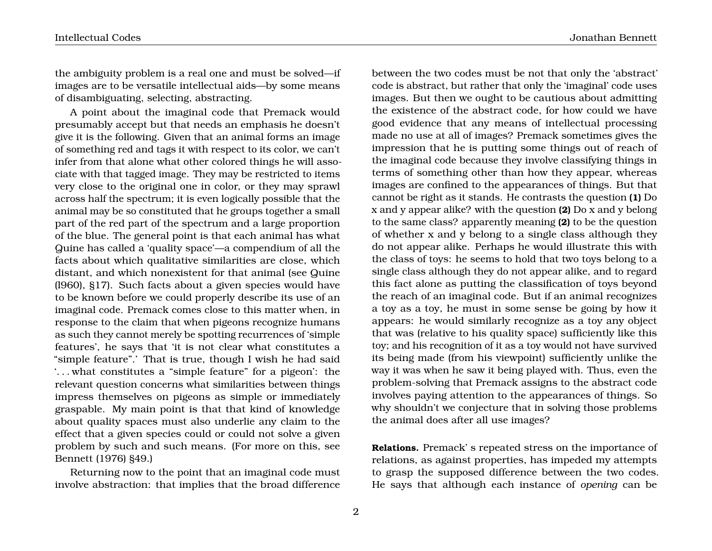of disambiguating, selecting, abstracting. A point about the imaginal code that Premack would presumably accept but that needs an emphasis he doesn't give it is the following. Given that an animal forms an image of something red and tags it with respect to its color, we can't infer from that alone what other colored things he will associate with that tagged image. They may be restricted to items very close to the original one in color, or they may sprawl across half the spectrum; it is even logically possible that the animal may be so constituted that he groups together a small part of the red part of the spectrum and a large proportion of the blue. The general point is that each animal has what Quine has called a 'quality space'—a compendium of all the facts about which qualitative similarities are close, which distant, and which nonexistent for that animal (see Quine (l960), §17). Such facts about a given species would have to be known before we could properly describe its use of an imaginal code. Premack comes close to this matter when, in response to the claim that when pigeons recognize humans as such they cannot merely be spotting recurrences of 'simple features', he says that 'it is not clear what constitutes a "simple feature".' That is true, though I wish he had said '. . . what constitutes a "simple feature" for a pigeon': the relevant question concerns what similarities between things impress themselves on pigeons as simple or immediately graspable. My main point is that that kind of knowledge about quality spaces must also underlie any claim to the effect that a given species could or could not solve a given problem by such and such means. (For more on this, see Bennett (1976) §49.)

the ambiguity problem is a real one and must be solved—if

Returning now to the point that an imaginal code must involve abstraction: that implies that the broad difference

between the two codes must be not that only the 'abstract' code is abstract, but rather that only the 'imaginal' code uses images. But then we ought to be cautious about admitting the existence of the abstract code, for how could we have good evidence that any means of intellectual processing made no use at all of images? Premack sometimes gives the impression that he is putting some things out of reach of the imaginal code because they involve classifying things in terms of something other than how they appear, whereas images are confined to the appearances of things. But that cannot be right as it stands. He contrasts the question **(1)** Do x and y appear alike? with the question **(2)** Do x and y belong to the same class? apparently meaning **(2)** to be the question of whether x and y belong to a single class although they do not appear alike. Perhaps he would illustrate this with the class of toys: he seems to hold that two toys belong to a single class although they do not appear alike, and to regard this fact alone as putting the classification of toys beyond the reach of an imaginal code. But if an animal recognizes a toy as a toy, he must in some sense be going by how it appears: he would similarly recognize as a toy any object that was (relative to his quality space) sufficiently like this toy; and his recognition of it as a toy would not have survived its being made (from his viewpoint) sufficiently unlike the way it was when he saw it being played with. Thus, even the problem-solving that Premack assigns to the abstract code involves paying attention to the appearances of things. So why shouldn't we conjecture that in solving those problems the animal does after all use images?

**Relations.** Premack' s repeated stress on the importance of relations, as against properties, has impeded my attempts to grasp the supposed difference between the two codes. He says that although each instance of *opening* can be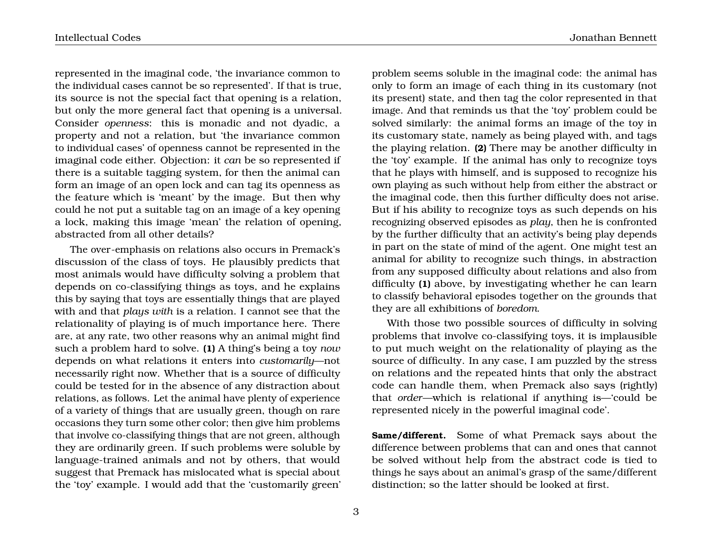represented in the imaginal code, 'the invariance common to the individual cases cannot be so represented'. If that is true, its source is not the special fact that opening is a relation, but only the more general fact that opening is a universal. Consider *openness*: this is monadic and not dyadic, a property and not a relation, but 'the invariance common to individual cases' of openness cannot be represented in the imaginal code either. Objection: it *can* be so represented if there is a suitable tagging system, for then the animal can form an image of an open lock and can tag its openness as the feature which is 'meant' by the image. But then why could he not put a suitable tag on an image of a key opening a lock, making this image 'mean' the relation of opening, abstracted from all other details?

The over-emphasis on relations also occurs in Premack's discussion of the class of toys. He plausibly predicts that most animals would have difficulty solving a problem that depends on co-classifying things as toys, and he explains this by saying that toys are essentially things that are played with and that *plays with* is a relation. I cannot see that the relationality of playing is of much importance here. There are, at any rate, two other reasons why an animal might find such a problem hard to solve. **(1)** A thing's being a toy *now* depends on what relations it enters into *customarily*—not necessarily right now. Whether that is a source of difficulty could be tested for in the absence of any distraction about relations, as follows. Let the animal have plenty of experience of a variety of things that are usually green, though on rare occasions they turn some other color; then give him problems that involve co-classifying things that are not green, although they are ordinarily green. If such problems were soluble by language-trained animals and not by others, that would suggest that Premack has mislocated what is special about the 'toy' example. I would add that the 'customarily green' problem seems soluble in the imaginal code: the animal has only to form an image of each thing in its customary (not its present) state, and then tag the color represented in that image. And that reminds us that the 'toy' problem could be solved similarly: the animal forms an image of the toy in its customary state, namely as being played with, and tags the playing relation. **(2)** There may be another difficulty in the 'toy' example. If the animal has only to recognize toys that he plays with himself, and is supposed to recognize his own playing as such without help from either the abstract or the imaginal code, then this further difficulty does not arise. But if his ability to recognize toys as such depends on his recognizing observed episodes as *play*, then he is confronted by the further difficulty that an activity's being play depends in part on the state of mind of the agent. One might test an animal for ability to recognize such things, in abstraction from any supposed difficulty about relations and also from difficulty **(1)** above, by investigating whether he can learn to classify behavioral episodes together on the grounds that they are all exhibitions of *boredom*.

With those two possible sources of difficulty in solving problems that involve co-classifying toys, it is implausible to put much weight on the relationality of playing as the source of difficulty. In any case, I am puzzled by the stress on relations and the repeated hints that only the abstract code can handle them, when Premack also says (rightly) that *order*—which is relational if anything is—'could be represented nicely in the powerful imaginal code'.

**Same/different.** Some of what Premack says about the difference between problems that can and ones that cannot be solved without help from the abstract code is tied to things he says about an animal's grasp of the same/different distinction; so the latter should be looked at first.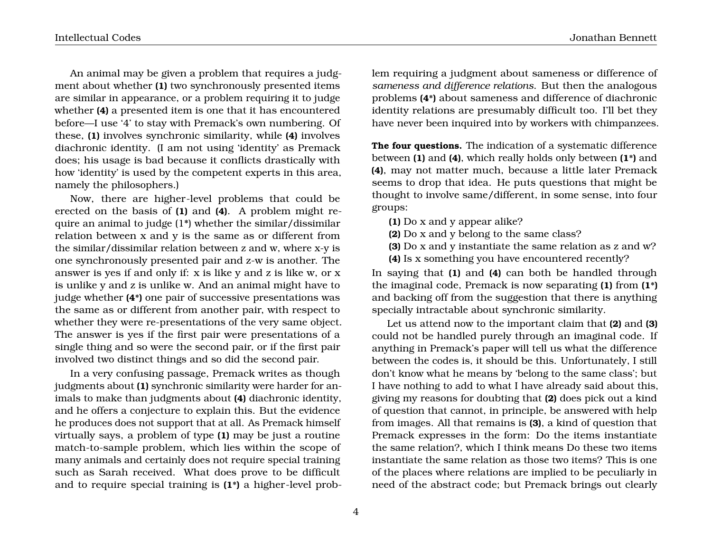An animal may be given a problem that requires a judgment about whether **(1)** two synchronously presented items are similar in appearance, or a problem requiring it to judge whether **(4)** a presented item is one that it has encountered before—I use '4' to stay with Premack's own numbering. Of these, **(1)** involves synchronic similarity, while **(4)** involves diachronic identity. (I am not using 'identity' as Premack does; his usage is bad because it conflicts drastically with how 'identity' is used by the competent experts in this area, namely the philosophers.)

Now, there are higher-level problems that could be erected on the basis of **(1)** and **(4)**. A problem might require an animal to judge (1\*) whether the similar/dissimilar relation between x and y is the same as or different from the similar/dissimilar relation between z and w, where x-y is one synchronously presented pair and z-w is another. The answer is yes if and only if: x is like y and z is like w, or x is unlike y and z is unlike w. And an animal might have to judge whether **(4\*)** one pair of successive presentations was the same as or different from another pair, with respect to whether they were re-presentations of the very same object. The answer is yes if the first pair were presentations of a single thing and so were the second pair, or if the first pair involved two distinct things and so did the second pair.

In a very confusing passage, Premack writes as though judgments about **(1)** synchronic similarity were harder for animals to make than judgments about **(4)** diachronic identity, and he offers a conjecture to explain this. But the evidence he produces does not support that at all. As Premack himself virtually says, a problem of type **(1)** may be just a routine match-to-sample problem, which lies within the scope of many animals and certainly does not require special training such as Sarah received. What does prove to be difficult and to require special training is **(1\*)** a higher-level problem requiring a judgment about sameness or difference of *sameness and difference relations*. But then the analogous problems **(4\*)** about sameness and difference of diachronic identity relations are presumably difficult too. I'll bet they have never been inquired into by workers with chimpanzees.

**The four questions.** The indication of a systematic difference between **(1)** and **(4)**, which really holds only between **(1\*)** and **(4)**, may not matter much, because a little later Premack seems to drop that idea. He puts questions that might be thought to involve same/different, in some sense, into four groups:

**(1)** Do x and y appear alike?

**(2)** Do x and y belong to the same class?

- **(3)** Do x and y instantiate the same relation as z and w?
- **(4)** Is x something you have encountered recently?

In saying that **(1)** and **(4)** can both be handled through the imaginal code, Premack is now separating **(1)** from **(1\*)** and backing off from the suggestion that there is anything specially intractable about synchronic similarity.

Let us attend now to the important claim that **(2)** and **(3)** could not be handled purely through an imaginal code. If anything in Premack's paper will tell us what the difference between the codes is, it should be this. Unfortunately, I still don't know what he means by 'belong to the same class'; but I have nothing to add to what I have already said about this, giving my reasons for doubting that **(2)** does pick out a kind of question that cannot, in principle, be answered with help from images. All that remains is **(3)**, a kind of question that Premack expresses in the form: Do the items instantiate the same relation?, which I think means Do these two items instantiate the same relation as those two items? This is one of the places where relations are implied to be peculiarly in need of the abstract code; but Premack brings out clearly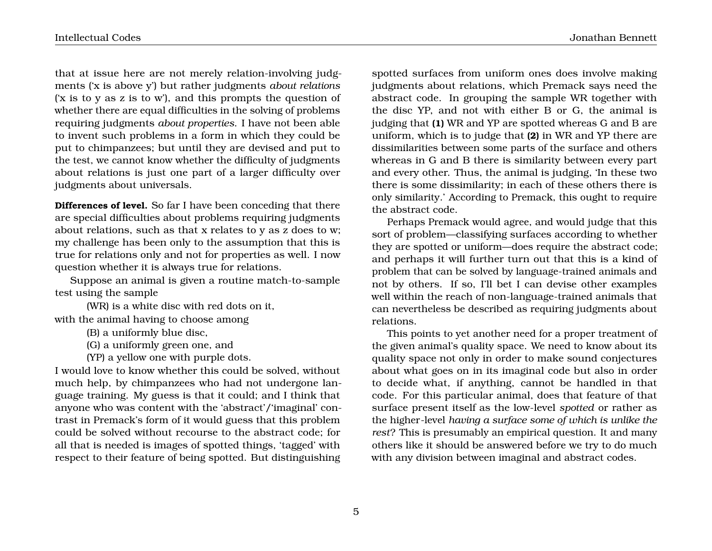that at issue here are not merely relation-involving judgments ('x is above y') but rather judgments *about relations* ('x is to y as z is to w'), and this prompts the question of whether there are equal difficulties in the solving of problems requiring judgments *about properties*. I have not been able to invent such problems in a form in which they could be put to chimpanzees; but until they are devised and put to the test, we cannot know whether the difficulty of judgments about relations is just one part of a larger difficulty over judgments about universals.

**Differences of level.** So far I have been conceding that there are special difficulties about problems requiring judgments about relations, such as that x relates to y as z does to w; my challenge has been only to the assumption that this is true for relations only and not for properties as well. I now question whether it is always true for relations.

Suppose an animal is given a routine match-to-sample test using the sample

(WR) is a white disc with red dots on it, with the animal having to choose among

(B) a uniformly blue disc,

(G) a uniformly green one, and

(YP) a yellow one with purple dots.

I would love to know whether this could be solved, without much help, by chimpanzees who had not undergone language training. My guess is that it could; and I think that anyone who was content with the 'abstract'/'imaginal' contrast in Premack's form of it would guess that this problem could be solved without recourse to the abstract code; for all that is needed is images of spotted things, 'tagged' with respect to their feature of being spotted. But distinguishing

spotted surfaces from uniform ones does involve making judgments about relations, which Premack says need the abstract code. In grouping the sample WR together with the disc YP, and not with either B or G, the animal is judging that **(1)** WR and YP are spotted whereas G and B are uniform, which is to judge that **(2)** in WR and YP there are dissimilarities between some parts of the surface and others whereas in G and B there is similarity between every part and every other. Thus, the animal is judging, 'In these two there is some dissimilarity; in each of these others there is only similarity.' According to Premack, this ought to require the abstract code.

Perhaps Premack would agree, and would judge that this sort of problem—classifying surfaces according to whether they are spotted or uniform—does require the abstract code; and perhaps it will further turn out that this is a kind of problem that can be solved by language-trained animals and not by others. If so, I'll bet I can devise other examples well within the reach of non-language-trained animals that can nevertheless be described as requiring judgments about relations.

This points to yet another need for a proper treatment of the given animal's quality space. We need to know about its quality space not only in order to make sound conjectures about what goes on in its imaginal code but also in order to decide what, if anything, cannot be handled in that code. For this particular animal, does that feature of that surface present itself as the low-level *spotted* or rather as the higher-level *having a surface some of which is unlike the rest*? This is presumably an empirical question. It and many others like it should be answered before we try to do much with any division between imaginal and abstract codes.